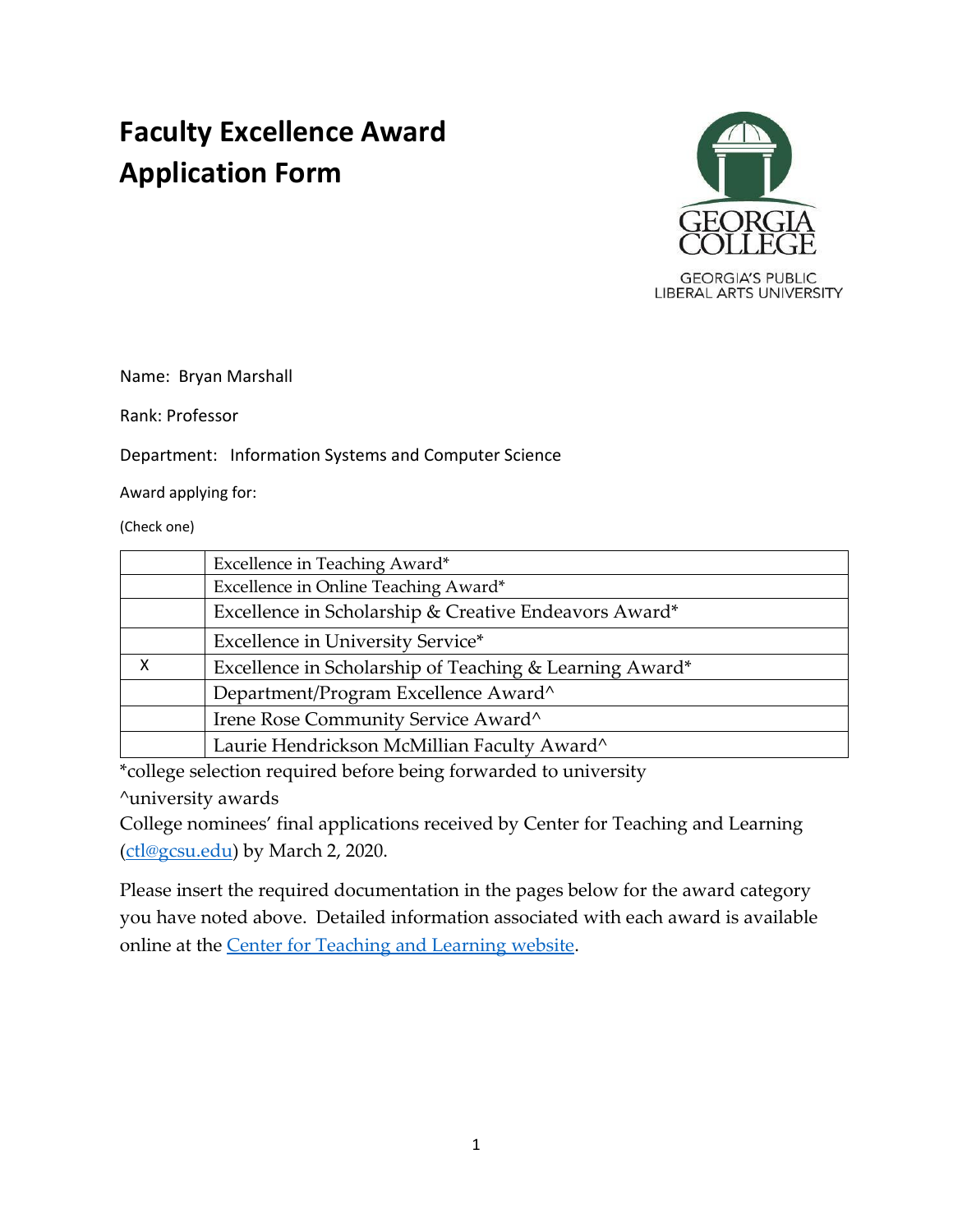# **Faculty Excellence Award Application Form**



Name: Bryan Marshall

Rank: Professor

Department: Information Systems and Computer Science

Award applying for:

(Check one)

|   | Excellence in Teaching Award*                           |
|---|---------------------------------------------------------|
|   | Excellence in Online Teaching Award*                    |
|   | Excellence in Scholarship & Creative Endeavors Award*   |
|   | Excellence in University Service*                       |
| X | Excellence in Scholarship of Teaching & Learning Award* |
|   | Department/Program Excellence Award^                    |
|   | Irene Rose Community Service Award^                     |
|   | Laurie Hendrickson McMillian Faculty Award^             |

\*college selection required before being forwarded to university

^university awards

College nominees' final applications received by Center for Teaching and Learning [\(ctl@gcsu.edu\)](mailto:ctl@gcsu.edu) by March 2, 2020.

Please insert the required documentation in the pages below for the award category you have noted above. Detailed information associated with each award is available online at the [Center for Teaching and Learning website.](https://www.gcsu.edu/ctl/faculty-teaching-service-awards)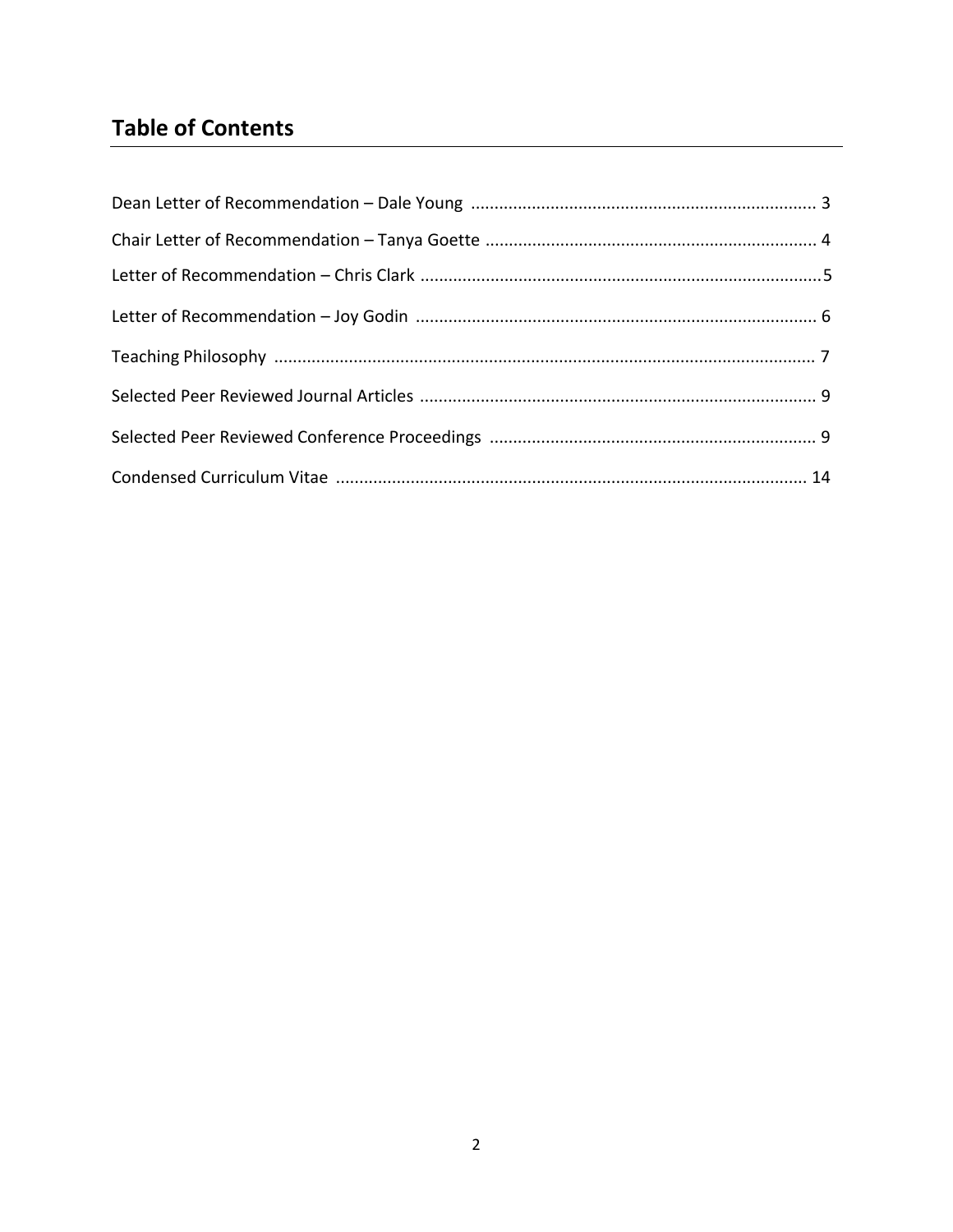# **Table of Contents**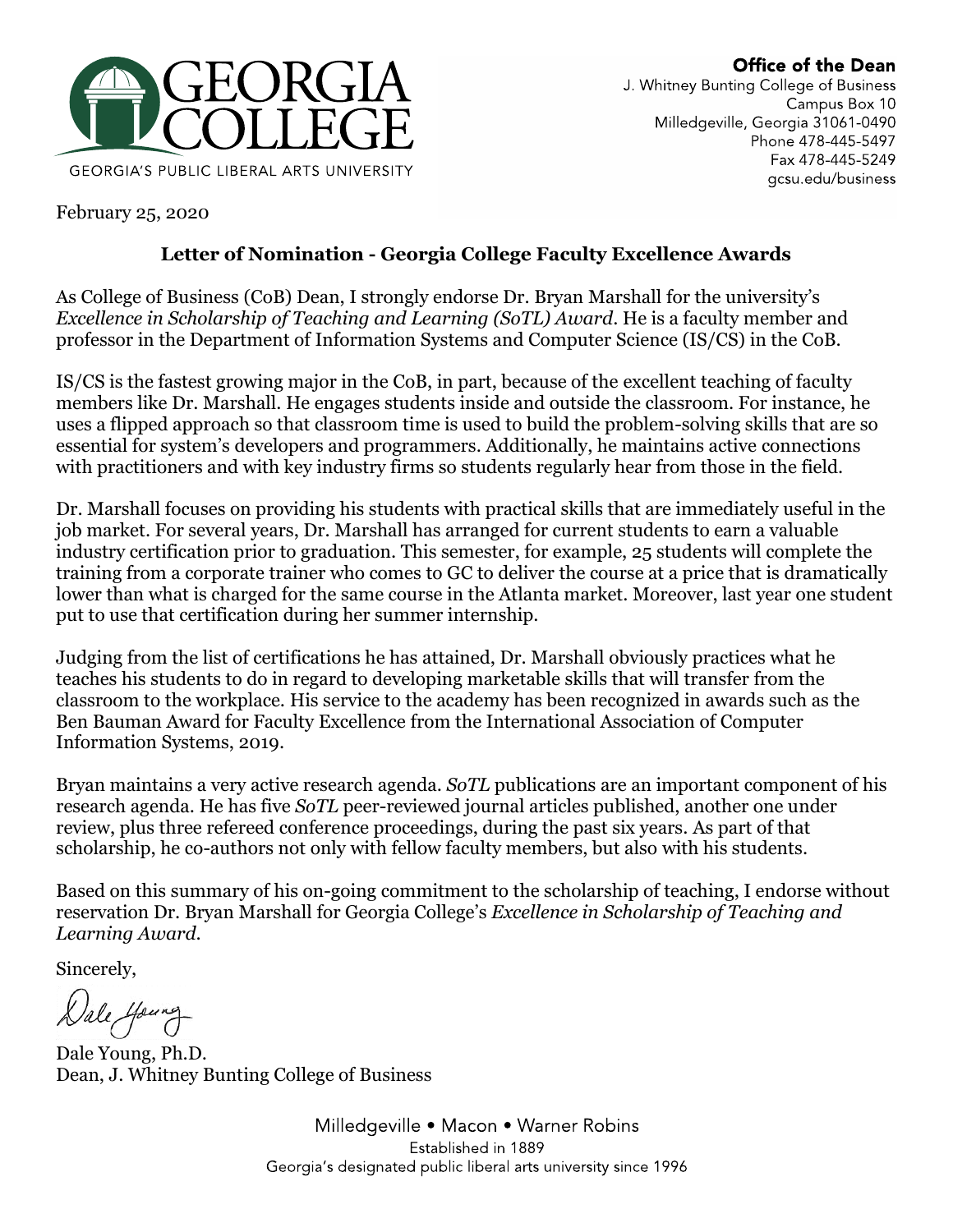

February 25, 2020

# **Letter of Nomination - Georgia College Faculty Excellence Awards**

As College of Business (CoB) Dean, I strongly endorse Dr. Bryan Marshall for the university's *Excellence in Scholarship of Teaching and Learning (SoTL) Award*. He is a faculty member and professor in the Department of Information Systems and Computer Science (IS/CS) in the CoB.

IS/CS is the fastest growing major in the CoB, in part, because of the excellent teaching of faculty members like Dr. Marshall. He engages students inside and outside the classroom. For instance, he uses a flipped approach so that classroom time is used to build the problem-solving skills that are so essential for system's developers and programmers. Additionally, he maintains active connections with practitioners and with key industry firms so students regularly hear from those in the field.

Dr. Marshall focuses on providing his students with practical skills that are immediately useful in the job market. For several years, Dr. Marshall has arranged for current students to earn a valuable industry certification prior to graduation. This semester, for example, 25 students will complete the training from a corporate trainer who comes to GC to deliver the course at a price that is dramatically lower than what is charged for the same course in the Atlanta market. Moreover, last year one student put to use that certification during her summer internship.

Judging from the list of certifications he has attained, Dr. Marshall obviously practices what he teaches his students to do in regard to developing marketable skills that will transfer from the classroom to the workplace. His service to the academy has been recognized in awards such as the Ben Bauman Award for Faculty Excellence from the International Association of Computer Information Systems, 2019.

Bryan maintains a very active research agenda. *SoTL* publications are an important component of his research agenda. He has five *SoTL* peer-reviewed journal articles published, another one under review, plus three refereed conference proceedings, during the past six years. As part of that scholarship, he co-authors not only with fellow faculty members, but also with his students.

Based on this summary of his on-going commitment to the scholarship of teaching, I endorse without reservation Dr. Bryan Marshall for Georgia College's *Excellence in Scholarship of Teaching and Learning Award*.

Sincerely,

Dale Young, Ph.D. Dean, J. Whitney Bunting College of Business

Milledgeville • Macon • Warner Robins Established in 1889 Georgia's designated public liberal arts university since 1996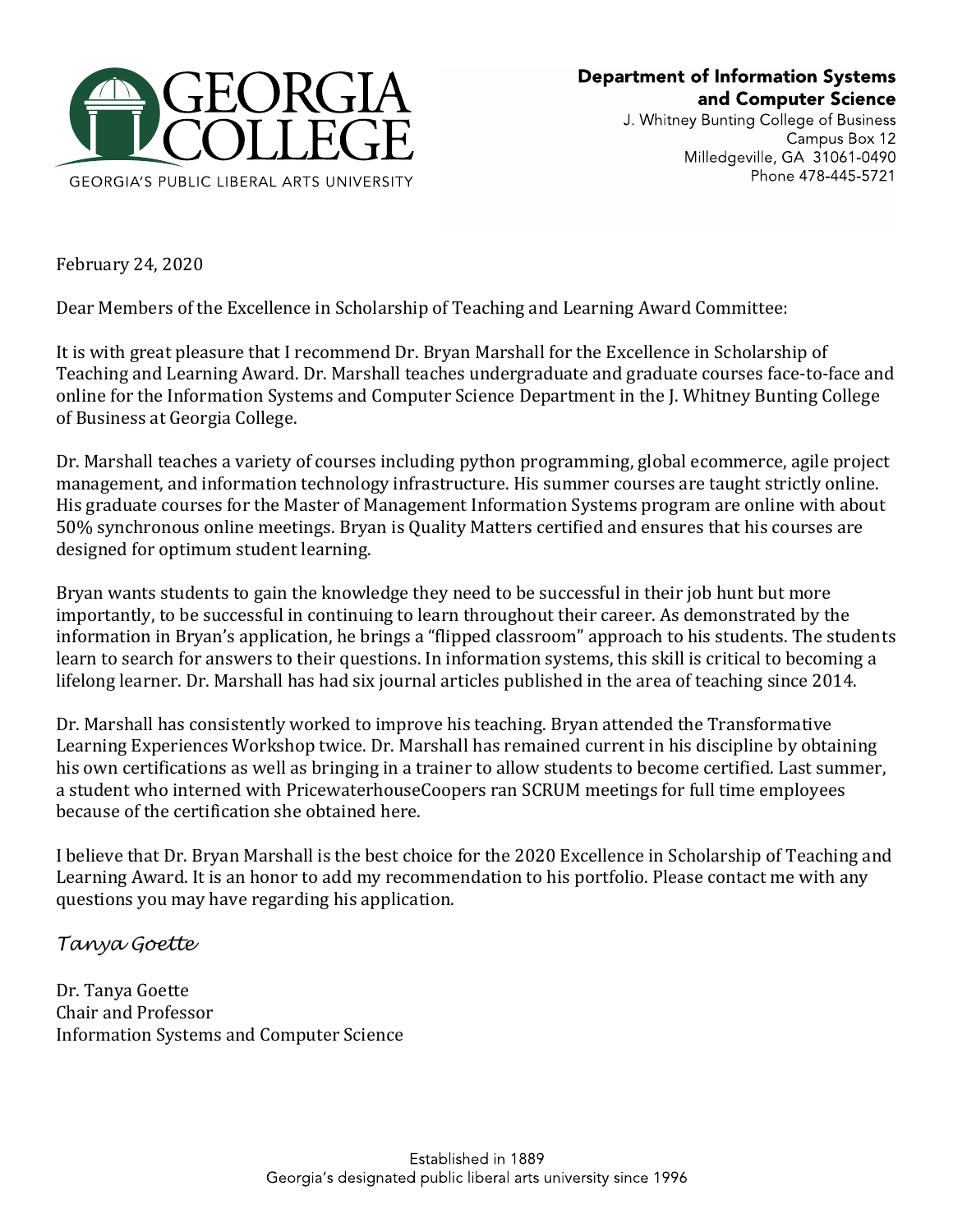

J. Whitney Bunting College of Business Campus Box 12 Milledgeville, GA 31061-0490 Phone 478-445-5721

February 24, 2020

Dear Members of the Excellence in Scholarship of Teaching and Learning Award Committee:

It is with great pleasure that I recommend Dr. Bryan Marshall for the Excellence in Scholarship of Teaching and Learning Award. Dr. Marshall teaches undergraduate and graduate courses face-to-face and online for the Information Systems and Computer Science Department in the J. Whitney Bunting College of Business at Georgia College.

Dr. Marshall teaches a variety of courses including python programming, global ecommerce, agile project management, and information technology infrastructure. His summer courses are taught strictly online. His graduate courses for the Master of Management Information Systems program are online with about 50% synchronous online meetings. Bryan is Quality Matters certified and ensures that his courses are designed for optimum student learning.

Bryan wants students to gain the knowledge they need to be successful in their job hunt but more importantly, to be successful in continuing to learn throughout their career. As demonstrated by the information in Bryan's application, he brings a "flipped classroom" approach to his students. The students learn to search for answers to their questions. In information systems, this skill is critical to becoming a lifelong learner. Dr. Marshall has had six journal articles published in the area of teaching since 2014.

Dr. Marshall has consistently worked to improve his teaching. Bryan attended the Transformative Learning Experiences Workshop twice. Dr. Marshall has remained current in his discipline by obtaining his own certifications as well as bringing in a trainer to allow students to become certified. Last summer, a student who interned with PricewaterhouseCoopers ran SCRUM meetings for full time employees because of the certification she obtained here.

I believe that Dr. Bryan Marshall is the best choice for the 2020 Excellence in Scholarship of Teaching and Learning Award. It is an honor to add my recommendation to his portfolio. Please contact me with any questions you may have regarding his application.

## *Tanya Goette*

Dr. Tanya Goette Chair and Professor Information Systems and Computer Science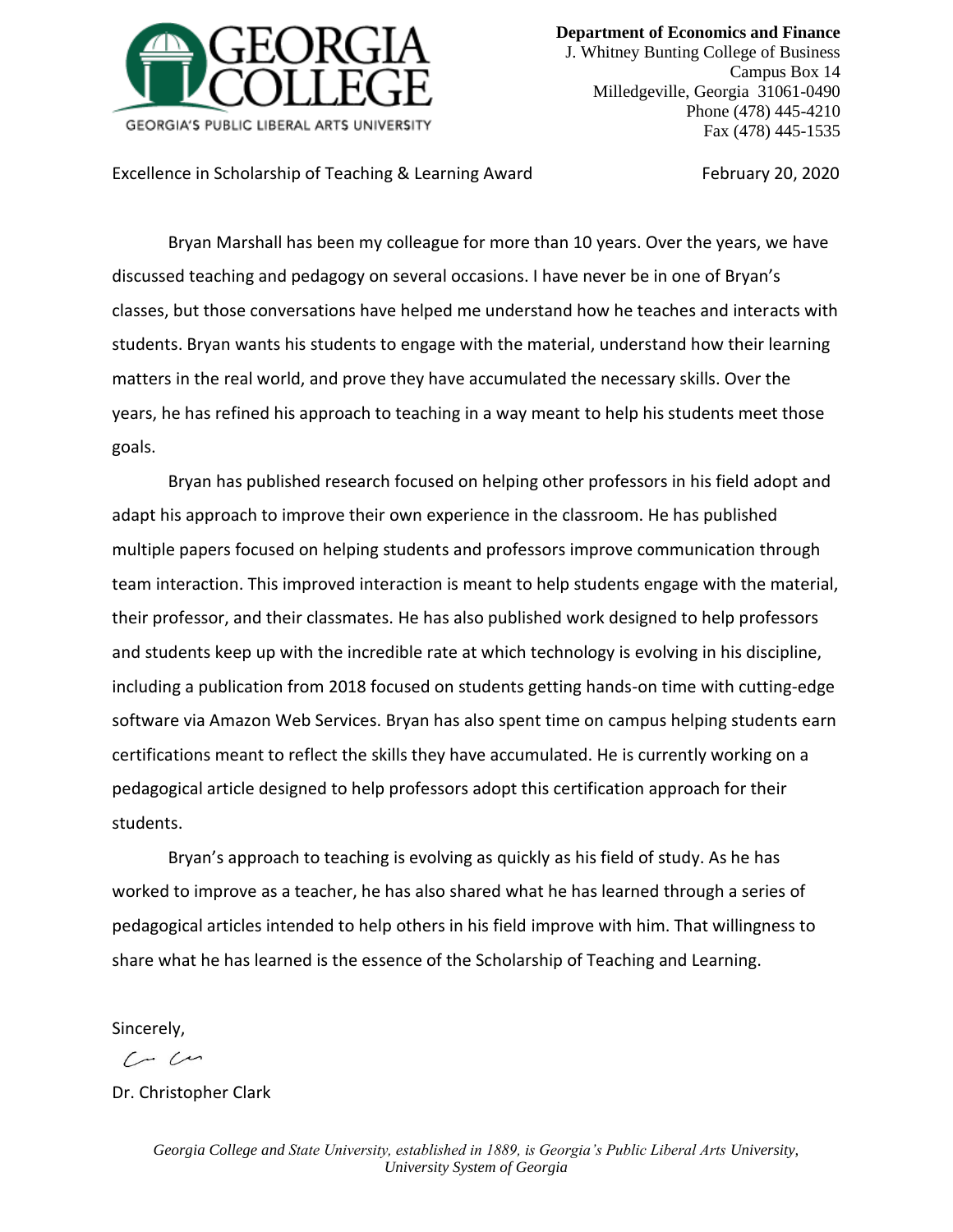

**Department of Economics and Finance** J. Whitney Bunting College of Business Campus Box 14 Milledgeville, Georgia 31061-0490 Phone (478) 445-4210

Excellence in Scholarship of Teaching & Learning Award February 20, 2020

Fax (478) 445-1535

Bryan Marshall has been my colleague for more than 10 years. Over the years, we have discussed teaching and pedagogy on several occasions. I have never be in one of Bryan's classes, but those conversations have helped me understand how he teaches and interacts with students. Bryan wants his students to engage with the material, understand how their learning matters in the real world, and prove they have accumulated the necessary skills. Over the years, he has refined his approach to teaching in a way meant to help his students meet those goals.

Bryan has published research focused on helping other professors in his field adopt and adapt his approach to improve their own experience in the classroom. He has published multiple papers focused on helping students and professors improve communication through team interaction. This improved interaction is meant to help students engage with the material, their professor, and their classmates. He has also published work designed to help professors and students keep up with the incredible rate at which technology is evolving in his discipline, including a publication from 2018 focused on students getting hands-on time with cutting-edge software via Amazon Web Services. Bryan has also spent time on campus helping students earn certifications meant to reflect the skills they have accumulated. He is currently working on a pedagogical article designed to help professors adopt this certification approach for their students.

Bryan's approach to teaching is evolving as quickly as his field of study. As he has worked to improve as a teacher, he has also shared what he has learned through a series of pedagogical articles intended to help others in his field improve with him. That willingness to share what he has learned is the essence of the Scholarship of Teaching and Learning.

Sincerely,

 $C - C$ 

Dr. Christopher Clark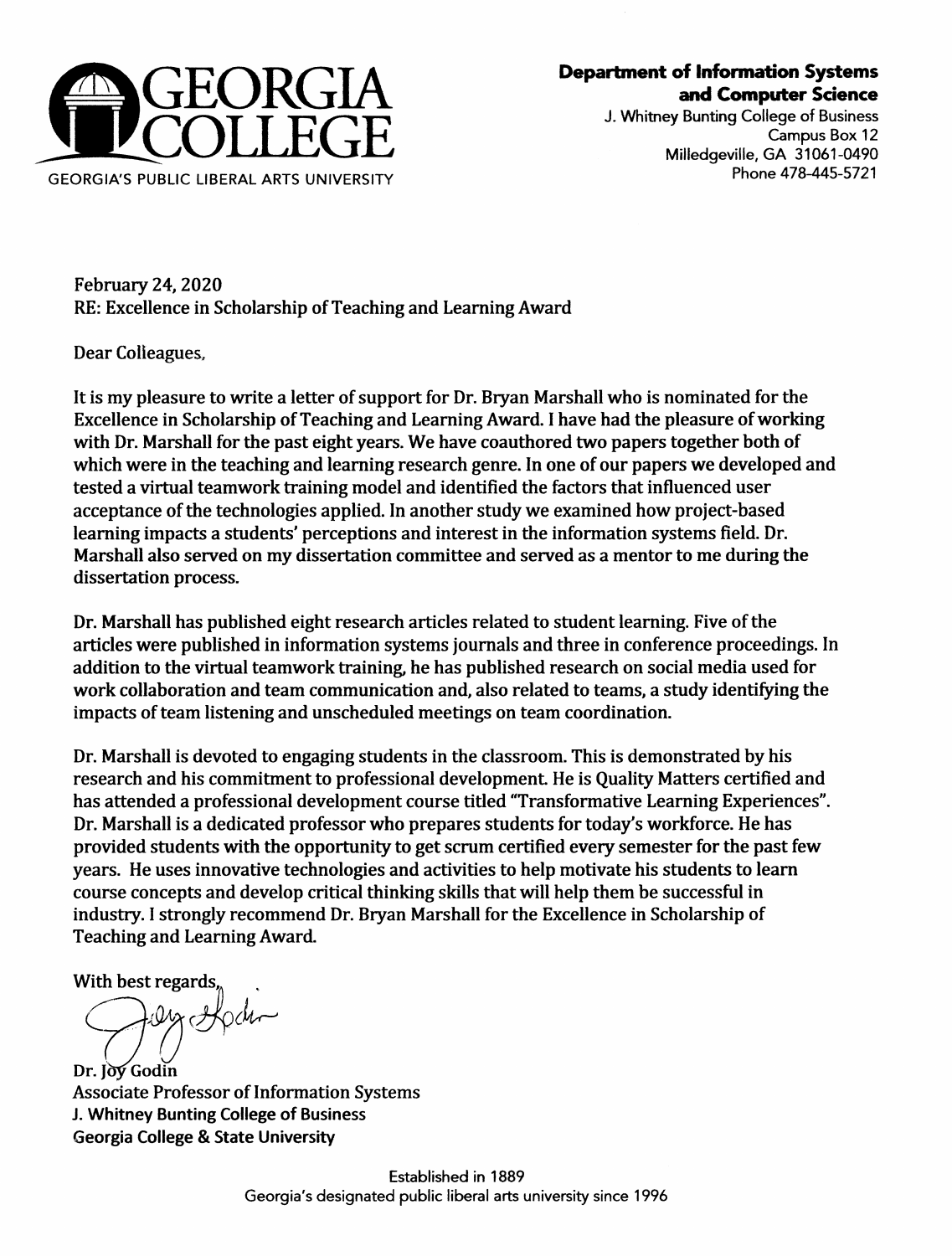

# **Department of Information Systems** and Computer Science

J. Whitney Bunting College of Business Campus Box 12 Milledaeville, GA 31061-0490 Phone 478-445-5721

**February 24, 2020** RE: Excellence in Scholarship of Teaching and Learning Award

Dear Colleagues.

It is my pleasure to write a letter of support for Dr. Bryan Marshall who is nominated for the Excellence in Scholarship of Teaching and Learning Award. I have had the pleasure of working with Dr. Marshall for the past eight years. We have coauthored two papers together both of which were in the teaching and learning research genre. In one of our papers we developed and tested a virtual teamwork training model and identified the factors that influenced user acceptance of the technologies applied. In another study we examined how project-based learning impacts a students' perceptions and interest in the information systems field. Dr. Marshall also served on my dissertation committee and served as a mentor to me during the dissertation process.

Dr. Marshall has published eight research articles related to student learning. Five of the articles were published in information systems journals and three in conference proceedings. In addition to the virtual teamwork training, he has published research on social media used for work collaboration and team communication and, also related to teams, a study identifying the impacts of team listening and unscheduled meetings on team coordination.

Dr. Marshall is devoted to engaging students in the classroom. This is demonstrated by his research and his commitment to professional development. He is Quality Matters certified and has attended a professional development course titled "Transformative Learning Experiences". Dr. Marshall is a dedicated professor who prepares students for today's workforce. He has provided students with the opportunity to get scrum certified every semester for the past few years. He uses innovative technologies and activities to help motivate his students to learn course concepts and develop critical thinking skills that will help them be successful in industry. I strongly recommend Dr. Bryan Marshall for the Excellence in Scholarship of **Teaching and Learning Award.** 

With best regards

Dr. Jov Godin **Associate Professor of Information Systems** J. Whitney Bunting College of Business **Georgia College & State University**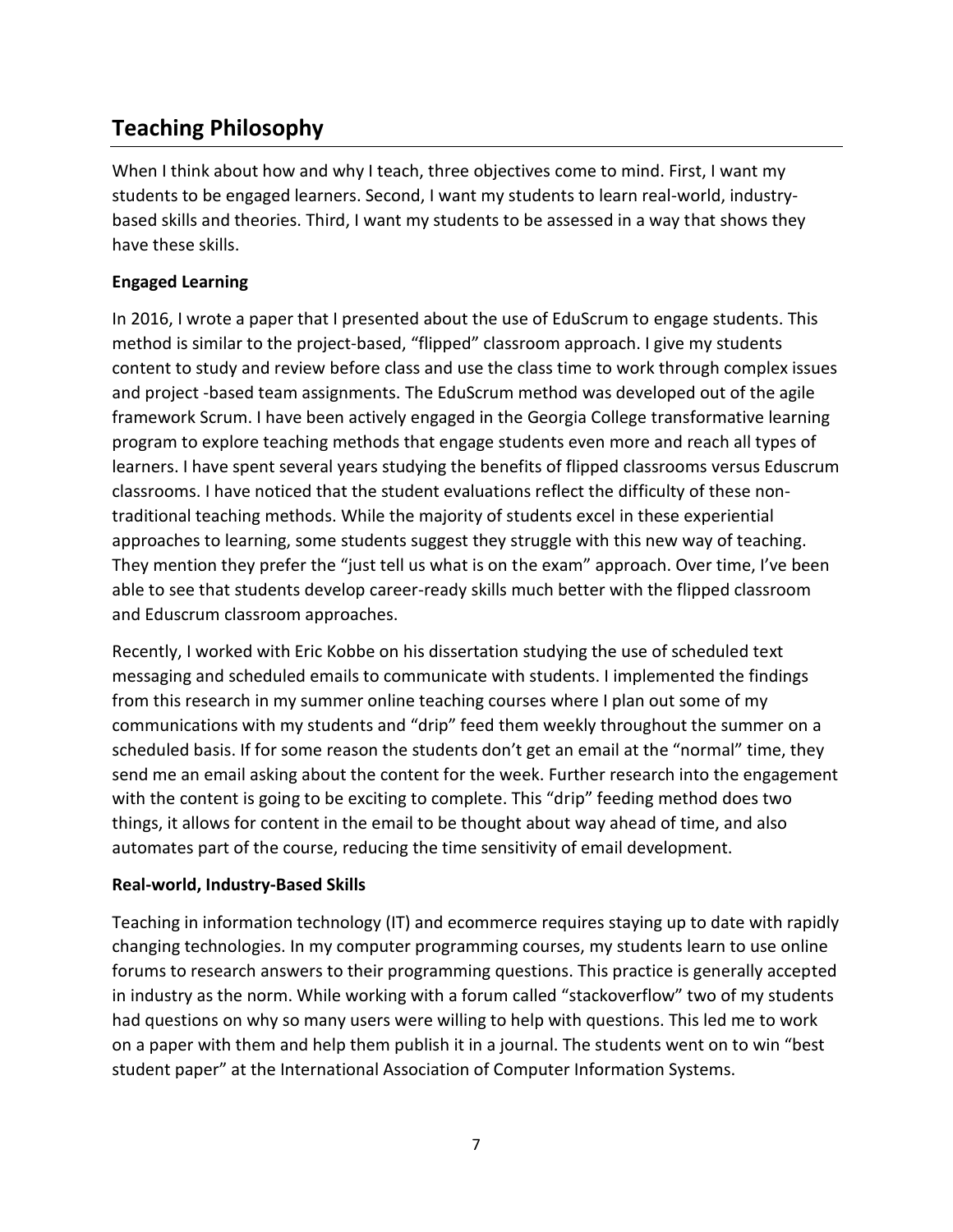# **Teaching Philosophy**

When I think about how and why I teach, three objectives come to mind. First, I want my students to be engaged learners. Second, I want my students to learn real-world, industrybased skills and theories. Third, I want my students to be assessed in a way that shows they have these skills.

### **Engaged Learning**

In 2016, I wrote a paper that I presented about the use of EduScrum to engage students. This method is similar to the project-based, "flipped" classroom approach. I give my students content to study and review before class and use the class time to work through complex issues and project -based team assignments. The EduScrum method was developed out of the agile framework Scrum. I have been actively engaged in the Georgia College transformative learning program to explore teaching methods that engage students even more and reach all types of learners. I have spent several years studying the benefits of flipped classrooms versus Eduscrum classrooms. I have noticed that the student evaluations reflect the difficulty of these nontraditional teaching methods. While the majority of students excel in these experiential approaches to learning, some students suggest they struggle with this new way of teaching. They mention they prefer the "just tell us what is on the exam" approach. Over time, I've been able to see that students develop career-ready skills much better with the flipped classroom and Eduscrum classroom approaches.

Recently, I worked with Eric Kobbe on his dissertation studying the use of scheduled text messaging and scheduled emails to communicate with students. I implemented the findings from this research in my summer online teaching courses where I plan out some of my communications with my students and "drip" feed them weekly throughout the summer on a scheduled basis. If for some reason the students don't get an email at the "normal" time, they send me an email asking about the content for the week. Further research into the engagement with the content is going to be exciting to complete. This "drip" feeding method does two things, it allows for content in the email to be thought about way ahead of time, and also automates part of the course, reducing the time sensitivity of email development.

### **Real-world, Industry-Based Skills**

Teaching in information technology (IT) and ecommerce requires staying up to date with rapidly changing technologies. In my computer programming courses, my students learn to use online forums to research answers to their programming questions. This practice is generally accepted in industry as the norm. While working with a forum called "stackoverflow" two of my students had questions on why so many users were willing to help with questions. This led me to work on a paper with them and help them publish it in a journal. The students went on to win "best student paper" at the International Association of Computer Information Systems.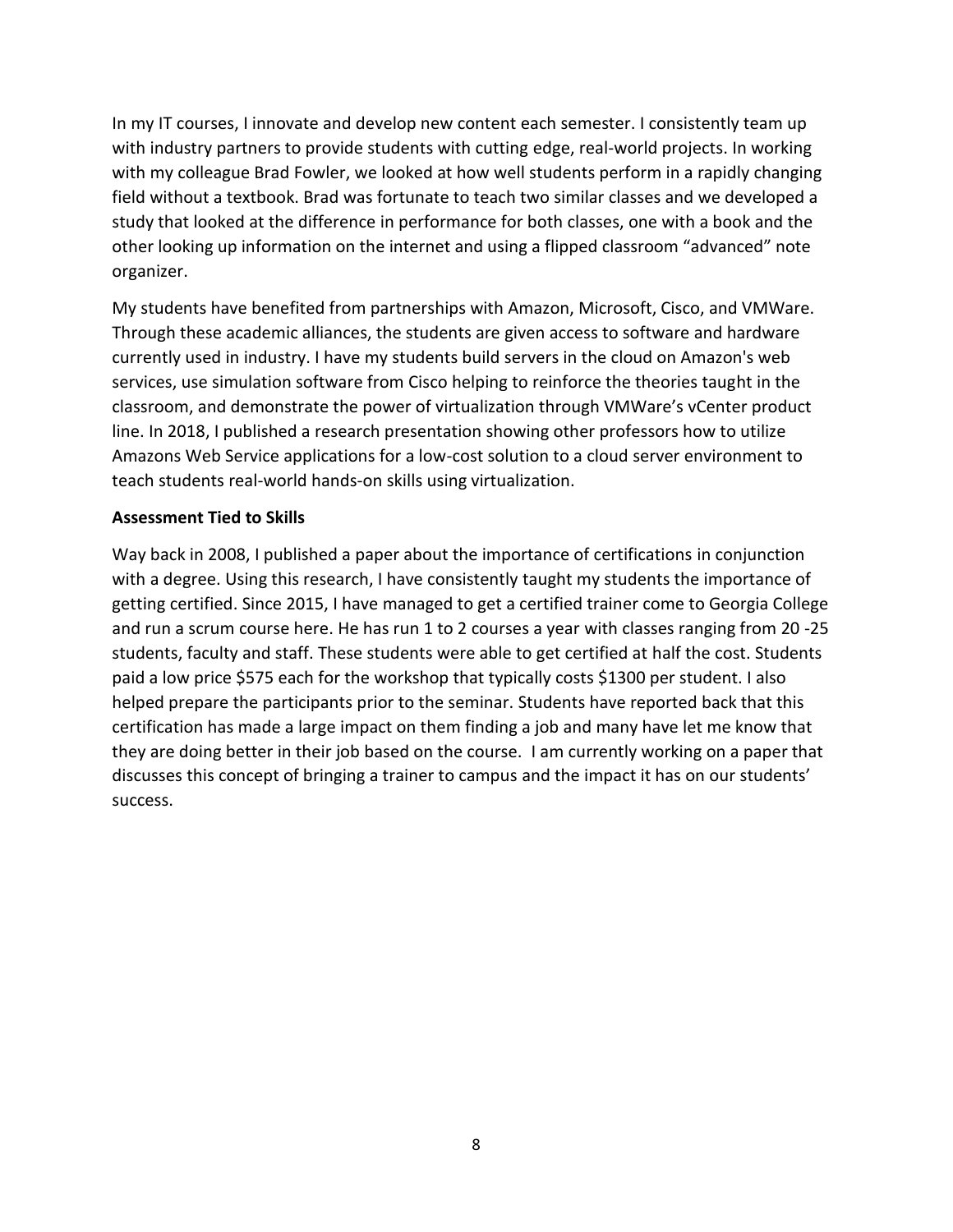In my IT courses, I innovate and develop new content each semester. I consistently team up with industry partners to provide students with cutting edge, real-world projects. In working with my colleague Brad Fowler, we looked at how well students perform in a rapidly changing field without a textbook. Brad was fortunate to teach two similar classes and we developed a study that looked at the difference in performance for both classes, one with a book and the other looking up information on the internet and using a flipped classroom "advanced" note organizer.

My students have benefited from partnerships with Amazon, Microsoft, Cisco, and VMWare. Through these academic alliances, the students are given access to software and hardware currently used in industry. I have my students build servers in the cloud on Amazon's web services, use simulation software from Cisco helping to reinforce the theories taught in the classroom, and demonstrate the power of virtualization through VMWare's vCenter product line. In 2018, I published a research presentation showing other professors how to utilize Amazons Web Service applications for a low-cost solution to a cloud server environment to teach students real-world hands-on skills using virtualization.

### **Assessment Tied to Skills**

Way back in 2008, I published a paper about the importance of certifications in conjunction with a degree. Using this research, I have consistently taught my students the importance of getting certified. Since 2015, I have managed to get a certified trainer come to Georgia College and run a scrum course here. He has run 1 to 2 courses a year with classes ranging from 20 -25 students, faculty and staff. These students were able to get certified at half the cost. Students paid a low price \$575 each for the workshop that typically costs \$1300 per student. I also helped prepare the participants prior to the seminar. Students have reported back that this certification has made a large impact on them finding a job and many have let me know that they are doing better in their job based on the course. I am currently working on a paper that discusses this concept of bringing a trainer to campus and the impact it has on our students' success.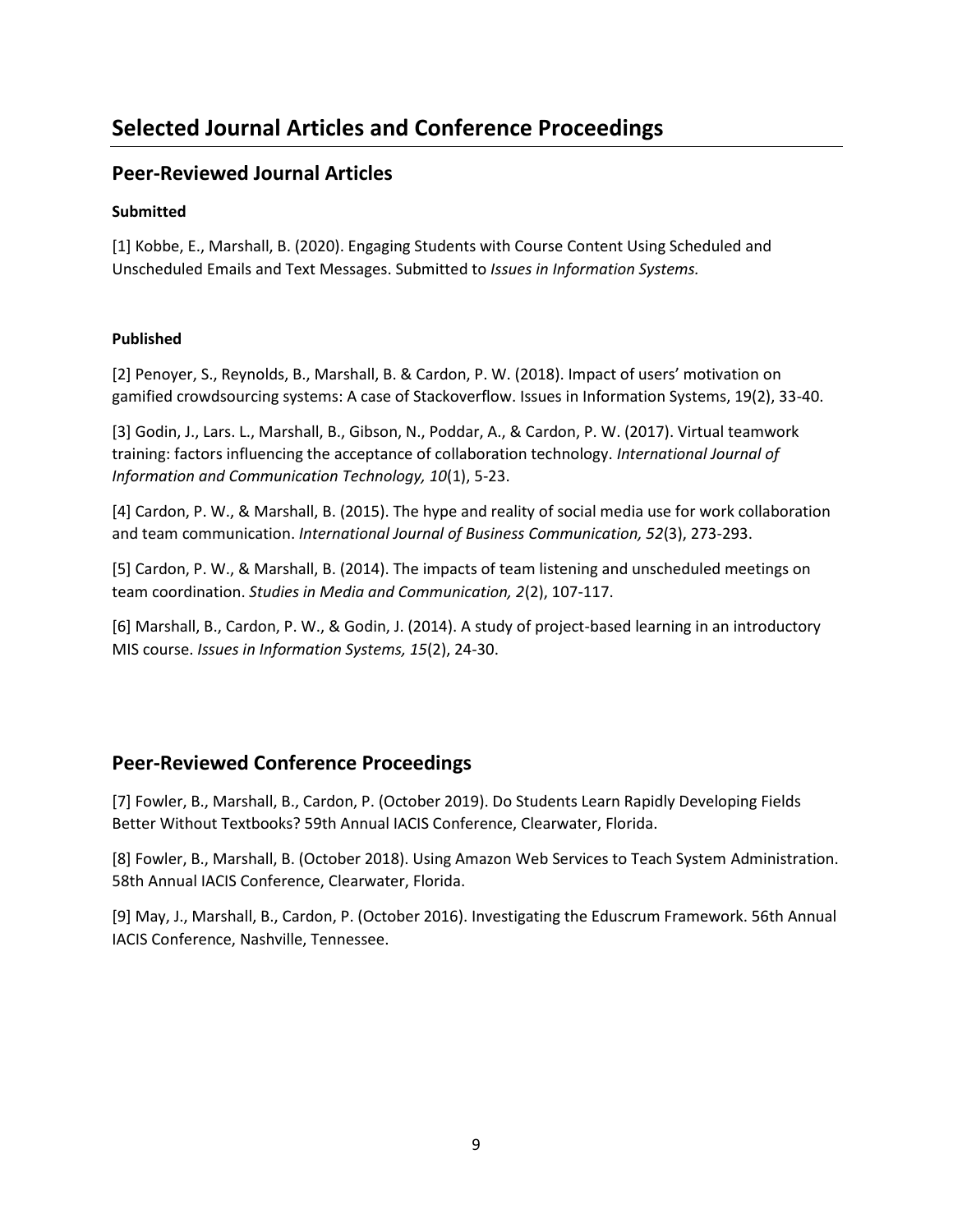# **Selected Journal Articles and Conference Proceedings**

# **Peer-Reviewed Journal Articles**

#### **Submitted**

[1] Kobbe, E., Marshall, B. (2020). Engaging Students with Course Content Using Scheduled and Unscheduled Emails and Text Messages. Submitted to *Issues in Information Systems.*

### **Published**

[2] Penoyer, S., Reynolds, B., Marshall, B. & Cardon, P. W. (2018). Impact of users' motivation on gamified crowdsourcing systems: A case of Stackoverflow. Issues in Information Systems, 19(2), 33-40.

[3] Godin, J., Lars. L., Marshall, B., Gibson, N., Poddar, A., & Cardon, P. W. (2017). Virtual teamwork training: factors influencing the acceptance of collaboration technology. *International Journal of Information and Communication Technology, 10*(1), 5-23.

[4] Cardon, P. W., & Marshall, B. (2015). The hype and reality of social media use for work collaboration and team communication. *International Journal of Business Communication, 52*(3), 273-293.

[5] Cardon, P. W., & Marshall, B. (2014). The impacts of team listening and unscheduled meetings on team coordination. *Studies in Media and Communication, 2*(2), 107-117.

[6] Marshall, B., Cardon, P. W., & Godin, J. (2014). A study of project-based learning in an introductory MIS course. *Issues in Information Systems, 15*(2), 24-30.

# **Peer-Reviewed Conference Proceedings**

[7] Fowler, B., Marshall, B., Cardon, P. (October 2019). Do Students Learn Rapidly Developing Fields Better Without Textbooks? 59th Annual IACIS Conference, Clearwater, Florida.

[8] Fowler, B., Marshall, B. (October 2018). Using Amazon Web Services to Teach System Administration. 58th Annual IACIS Conference, Clearwater, Florida.

[9] May, J., Marshall, B., Cardon, P. (October 2016). Investigating the Eduscrum Framework. 56th Annual IACIS Conference, Nashville, Tennessee.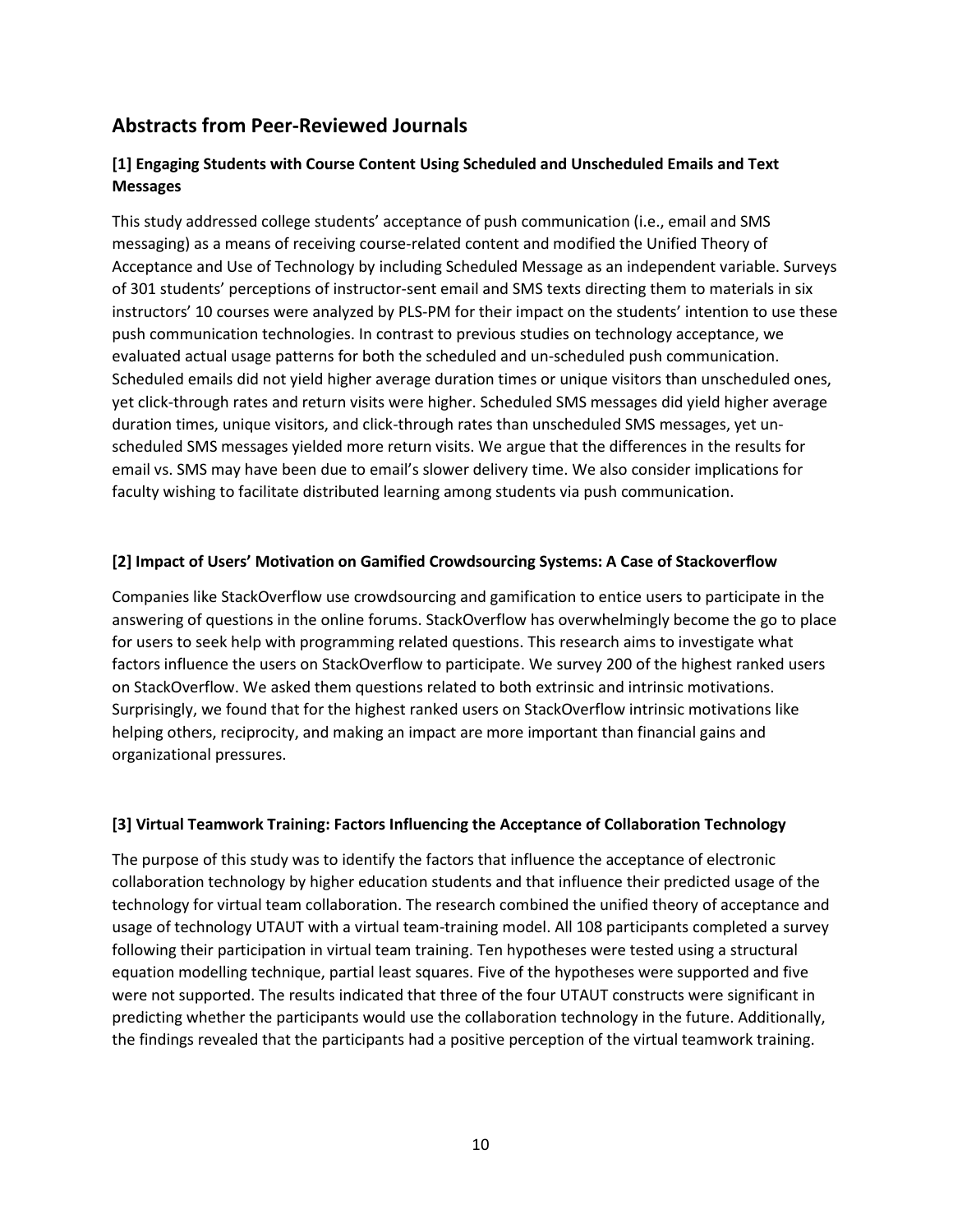# **Abstracts from Peer-Reviewed Journals**

### **[1] Engaging Students with Course Content Using Scheduled and Unscheduled Emails and Text Messages**

This study addressed college students' acceptance of push communication (i.e., email and SMS messaging) as a means of receiving course-related content and modified the Unified Theory of Acceptance and Use of Technology by including Scheduled Message as an independent variable. Surveys of 301 students' perceptions of instructor-sent email and SMS texts directing them to materials in six instructors' 10 courses were analyzed by PLS-PM for their impact on the students' intention to use these push communication technologies. In contrast to previous studies on technology acceptance, we evaluated actual usage patterns for both the scheduled and un-scheduled push communication. Scheduled emails did not yield higher average duration times or unique visitors than unscheduled ones, yet click-through rates and return visits were higher. Scheduled SMS messages did yield higher average duration times, unique visitors, and click-through rates than unscheduled SMS messages, yet unscheduled SMS messages yielded more return visits. We argue that the differences in the results for email vs. SMS may have been due to email's slower delivery time. We also consider implications for faculty wishing to facilitate distributed learning among students via push communication.

#### **[2] Impact of Users' Motivation on Gamified Crowdsourcing Systems: A Case of Stackoverflow**

Companies like StackOverflow use crowdsourcing and gamification to entice users to participate in the answering of questions in the online forums. StackOverflow has overwhelmingly become the go to place for users to seek help with programming related questions. This research aims to investigate what factors influence the users on StackOverflow to participate. We survey 200 of the highest ranked users on StackOverflow. We asked them questions related to both extrinsic and intrinsic motivations. Surprisingly, we found that for the highest ranked users on StackOverflow intrinsic motivations like helping others, reciprocity, and making an impact are more important than financial gains and organizational pressures.

#### **[3] Virtual Teamwork Training: Factors Influencing the Acceptance of Collaboration Technology**

The purpose of this study was to identify the factors that influence the acceptance of electronic collaboration technology by higher education students and that influence their predicted usage of the technology for virtual team collaboration. The research combined the unified theory of acceptance and usage of technology UTAUT with a virtual team-training model. All 108 participants completed a survey following their participation in virtual team training. Ten hypotheses were tested using a structural equation modelling technique, partial least squares. Five of the hypotheses were supported and five were not supported. The results indicated that three of the four UTAUT constructs were significant in predicting whether the participants would use the collaboration technology in the future. Additionally, the findings revealed that the participants had a positive perception of the virtual teamwork training.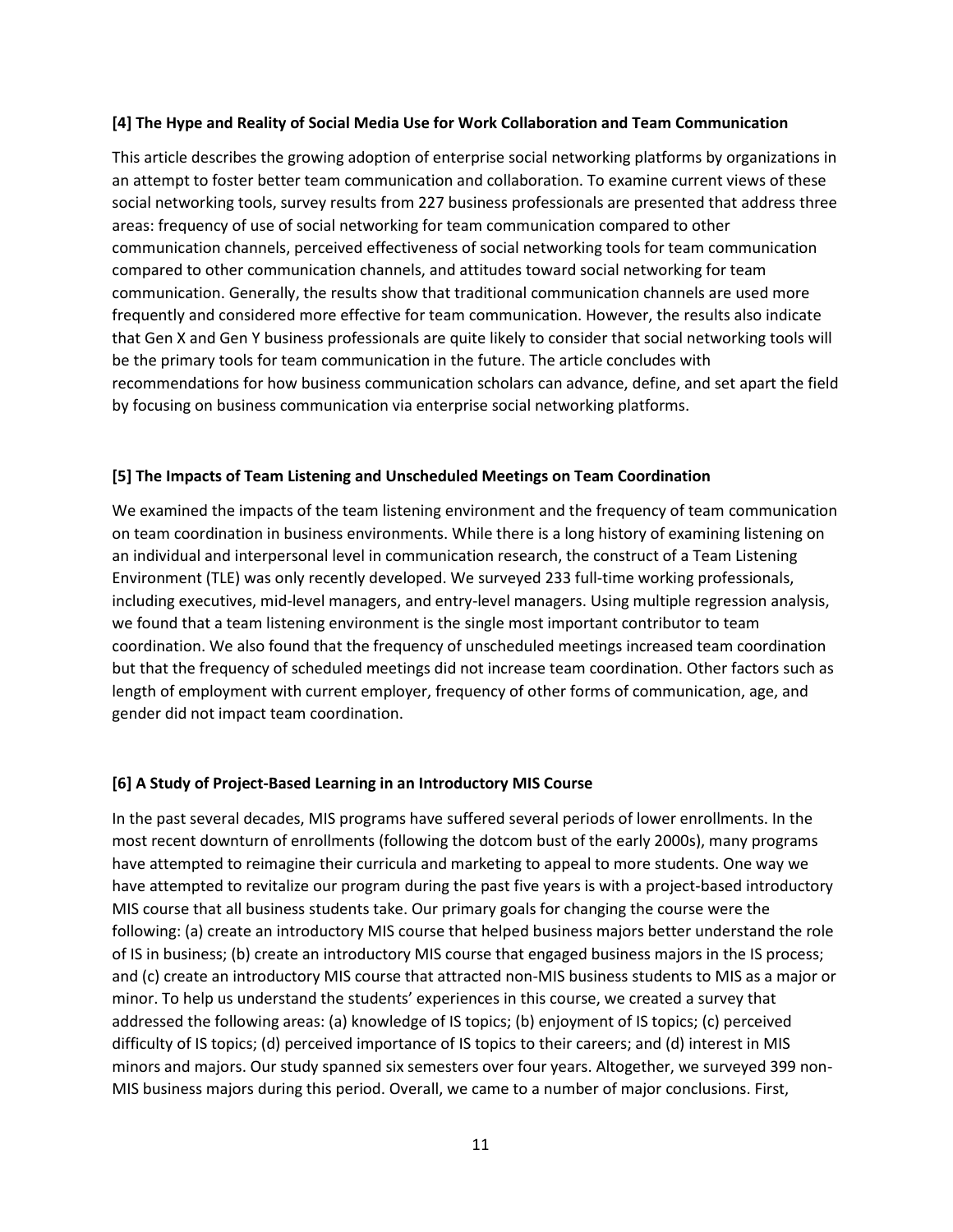#### **[4] The Hype and Reality of Social Media Use for Work Collaboration and Team Communication**

This article describes the growing adoption of enterprise social networking platforms by organizations in an attempt to foster better team communication and collaboration. To examine current views of these social networking tools, survey results from 227 business professionals are presented that address three areas: frequency of use of social networking for team communication compared to other communication channels, perceived effectiveness of social networking tools for team communication compared to other communication channels, and attitudes toward social networking for team communication. Generally, the results show that traditional communication channels are used more frequently and considered more effective for team communication. However, the results also indicate that Gen X and Gen Y business professionals are quite likely to consider that social networking tools will be the primary tools for team communication in the future. The article concludes with recommendations for how business communication scholars can advance, define, and set apart the field by focusing on business communication via enterprise social networking platforms.

#### **[5] The Impacts of Team Listening and Unscheduled Meetings on Team Coordination**

We examined the impacts of the team listening environment and the frequency of team communication on team coordination in business environments. While there is a long history of examining listening on an individual and interpersonal level in communication research, the construct of a Team Listening Environment (TLE) was only recently developed. We surveyed 233 full-time working professionals, including executives, mid-level managers, and entry-level managers. Using multiple regression analysis, we found that a team listening environment is the single most important contributor to team coordination. We also found that the frequency of unscheduled meetings increased team coordination but that the frequency of scheduled meetings did not increase team coordination. Other factors such as length of employment with current employer, frequency of other forms of communication, age, and gender did not impact team coordination.

#### **[6] A Study of Project-Based Learning in an Introductory MIS Course**

In the past several decades, MIS programs have suffered several periods of lower enrollments. In the most recent downturn of enrollments (following the dotcom bust of the early 2000s), many programs have attempted to reimagine their curricula and marketing to appeal to more students. One way we have attempted to revitalize our program during the past five years is with a project-based introductory MIS course that all business students take. Our primary goals for changing the course were the following: (a) create an introductory MIS course that helped business majors better understand the role of IS in business; (b) create an introductory MIS course that engaged business majors in the IS process; and (c) create an introductory MIS course that attracted non-MIS business students to MIS as a major or minor. To help us understand the students' experiences in this course, we created a survey that addressed the following areas: (a) knowledge of IS topics; (b) enjoyment of IS topics; (c) perceived difficulty of IS topics; (d) perceived importance of IS topics to their careers; and (d) interest in MIS minors and majors. Our study spanned six semesters over four years. Altogether, we surveyed 399 non-MIS business majors during this period. Overall, we came to a number of major conclusions. First,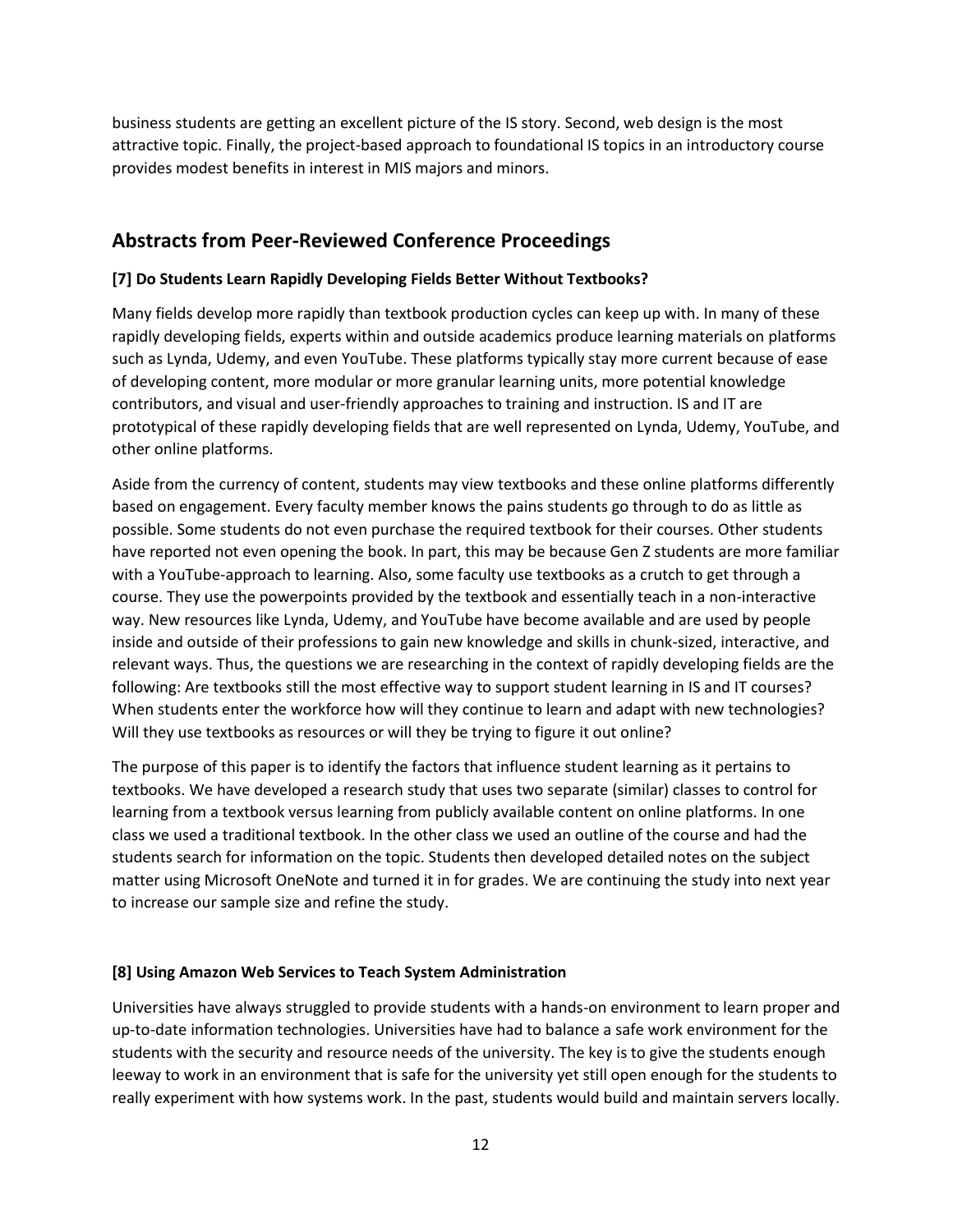business students are getting an excellent picture of the IS story. Second, web design is the most attractive topic. Finally, the project-based approach to foundational IS topics in an introductory course provides modest benefits in interest in MIS majors and minors.

# **Abstracts from Peer-Reviewed Conference Proceedings**

#### **[7] Do Students Learn Rapidly Developing Fields Better Without Textbooks?**

Many fields develop more rapidly than textbook production cycles can keep up with. In many of these rapidly developing fields, experts within and outside academics produce learning materials on platforms such as Lynda, Udemy, and even YouTube. These platforms typically stay more current because of ease of developing content, more modular or more granular learning units, more potential knowledge contributors, and visual and user-friendly approaches to training and instruction. IS and IT are prototypical of these rapidly developing fields that are well represented on Lynda, Udemy, YouTube, and other online platforms.

Aside from the currency of content, students may view textbooks and these online platforms differently based on engagement. Every faculty member knows the pains students go through to do as little as possible. Some students do not even purchase the required textbook for their courses. Other students have reported not even opening the book. In part, this may be because Gen Z students are more familiar with a YouTube-approach to learning. Also, some faculty use textbooks as a crutch to get through a course. They use the powerpoints provided by the textbook and essentially teach in a non-interactive way. New resources like Lynda, Udemy, and YouTube have become available and are used by people inside and outside of their professions to gain new knowledge and skills in chunk-sized, interactive, and relevant ways. Thus, the questions we are researching in the context of rapidly developing fields are the following: Are textbooks still the most effective way to support student learning in IS and IT courses? When students enter the workforce how will they continue to learn and adapt with new technologies? Will they use textbooks as resources or will they be trying to figure it out online?

The purpose of this paper is to identify the factors that influence student learning as it pertains to textbooks. We have developed a research study that uses two separate (similar) classes to control for learning from a textbook versus learning from publicly available content on online platforms. In one class we used a traditional textbook. In the other class we used an outline of the course and had the students search for information on the topic. Students then developed detailed notes on the subject matter using Microsoft OneNote and turned it in for grades. We are continuing the study into next year to increase our sample size and refine the study.

#### **[8] Using Amazon Web Services to Teach System Administration**

Universities have always struggled to provide students with a hands-on environment to learn proper and up-to-date information technologies. Universities have had to balance a safe work environment for the students with the security and resource needs of the university. The key is to give the students enough leeway to work in an environment that is safe for the university yet still open enough for the students to really experiment with how systems work. In the past, students would build and maintain servers locally.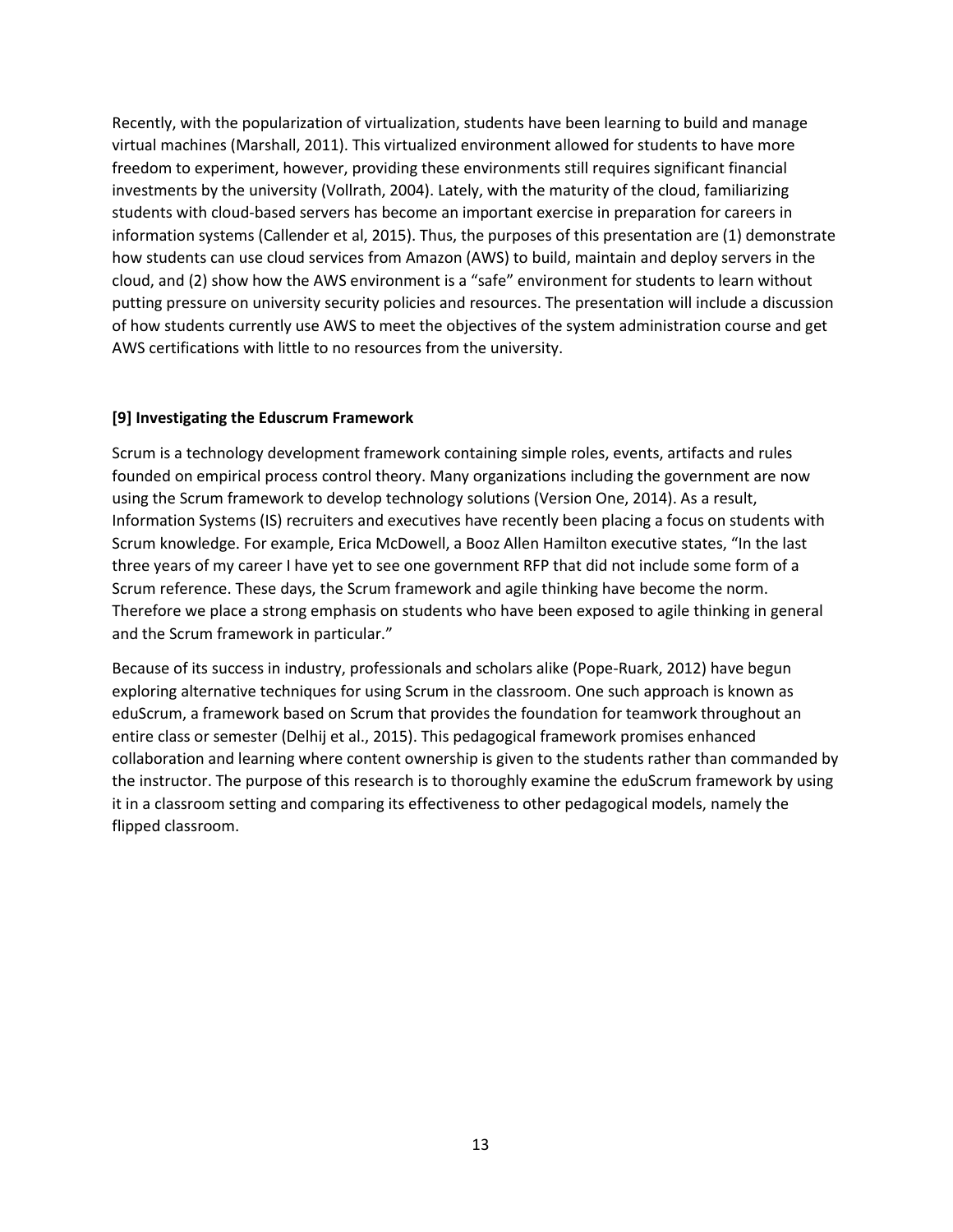Recently, with the popularization of virtualization, students have been learning to build and manage virtual machines (Marshall, 2011). This virtualized environment allowed for students to have more freedom to experiment, however, providing these environments still requires significant financial investments by the university (Vollrath, 2004). Lately, with the maturity of the cloud, familiarizing students with cloud-based servers has become an important exercise in preparation for careers in information systems (Callender et al, 2015). Thus, the purposes of this presentation are (1) demonstrate how students can use cloud services from Amazon (AWS) to build, maintain and deploy servers in the cloud, and (2) show how the AWS environment is a "safe" environment for students to learn without putting pressure on university security policies and resources. The presentation will include a discussion of how students currently use AWS to meet the objectives of the system administration course and get AWS certifications with little to no resources from the university.

#### **[9] Investigating the Eduscrum Framework**

Scrum is a technology development framework containing simple roles, events, artifacts and rules founded on empirical process control theory. Many organizations including the government are now using the Scrum framework to develop technology solutions (Version One, 2014). As a result, Information Systems (IS) recruiters and executives have recently been placing a focus on students with Scrum knowledge. For example, Erica McDowell, a Booz Allen Hamilton executive states, "In the last three years of my career I have yet to see one government RFP that did not include some form of a Scrum reference. These days, the Scrum framework and agile thinking have become the norm. Therefore we place a strong emphasis on students who have been exposed to agile thinking in general and the Scrum framework in particular."

Because of its success in industry, professionals and scholars alike (Pope-Ruark, 2012) have begun exploring alternative techniques for using Scrum in the classroom. One such approach is known as eduScrum, a framework based on Scrum that provides the foundation for teamwork throughout an entire class or semester (Delhij et al., 2015). This pedagogical framework promises enhanced collaboration and learning where content ownership is given to the students rather than commanded by the instructor. The purpose of this research is to thoroughly examine the eduScrum framework by using it in a classroom setting and comparing its effectiveness to other pedagogical models, namely the flipped classroom.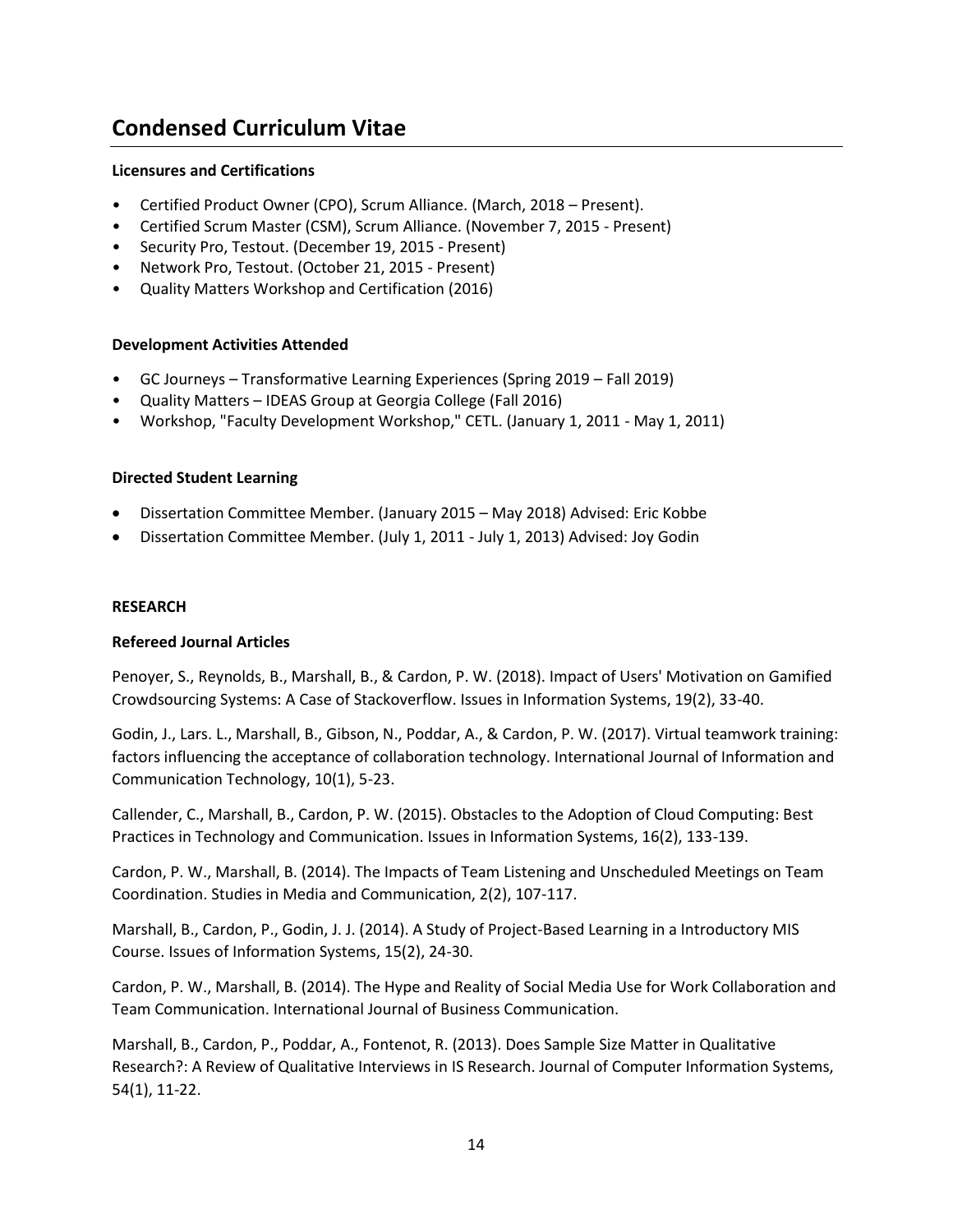# **Condensed Curriculum Vitae**

#### **Licensures and Certifications**

- Certified Product Owner (CPO), Scrum Alliance. (March, 2018 Present).
- Certified Scrum Master (CSM), Scrum Alliance. (November 7, 2015 Present)
- Security Pro, Testout. (December 19, 2015 Present)
- Network Pro, Testout. (October 21, 2015 Present)
- Quality Matters Workshop and Certification (2016)

#### **Development Activities Attended**

- GC Journeys Transformative Learning Experiences (Spring 2019 Fall 2019)
- Quality Matters IDEAS Group at Georgia College (Fall 2016)
- Workshop, "Faculty Development Workshop," CETL. (January 1, 2011 May 1, 2011)

#### **Directed Student Learning**

- Dissertation Committee Member. (January 2015 May 2018) Advised: Eric Kobbe
- Dissertation Committee Member. (July 1, 2011 July 1, 2013) Advised: Joy Godin

#### **RESEARCH**

#### **Refereed Journal Articles**

Penoyer, S., Reynolds, B., Marshall, B., & Cardon, P. W. (2018). Impact of Users' Motivation on Gamified Crowdsourcing Systems: A Case of Stackoverflow. Issues in Information Systems, 19(2), 33-40.

Godin, J., Lars. L., Marshall, B., Gibson, N., Poddar, A., & Cardon, P. W. (2017). Virtual teamwork training: factors influencing the acceptance of collaboration technology. International Journal of Information and Communication Technology, 10(1), 5-23.

Callender, C., Marshall, B., Cardon, P. W. (2015). Obstacles to the Adoption of Cloud Computing: Best Practices in Technology and Communication. Issues in Information Systems, 16(2), 133-139.

Cardon, P. W., Marshall, B. (2014). The Impacts of Team Listening and Unscheduled Meetings on Team Coordination. Studies in Media and Communication, 2(2), 107-117.

Marshall, B., Cardon, P., Godin, J. J. (2014). A Study of Project-Based Learning in a Introductory MIS Course. Issues of Information Systems, 15(2), 24-30.

Cardon, P. W., Marshall, B. (2014). The Hype and Reality of Social Media Use for Work Collaboration and Team Communication. International Journal of Business Communication.

Marshall, B., Cardon, P., Poddar, A., Fontenot, R. (2013). Does Sample Size Matter in Qualitative Research?: A Review of Qualitative Interviews in IS Research. Journal of Computer Information Systems, 54(1), 11-22.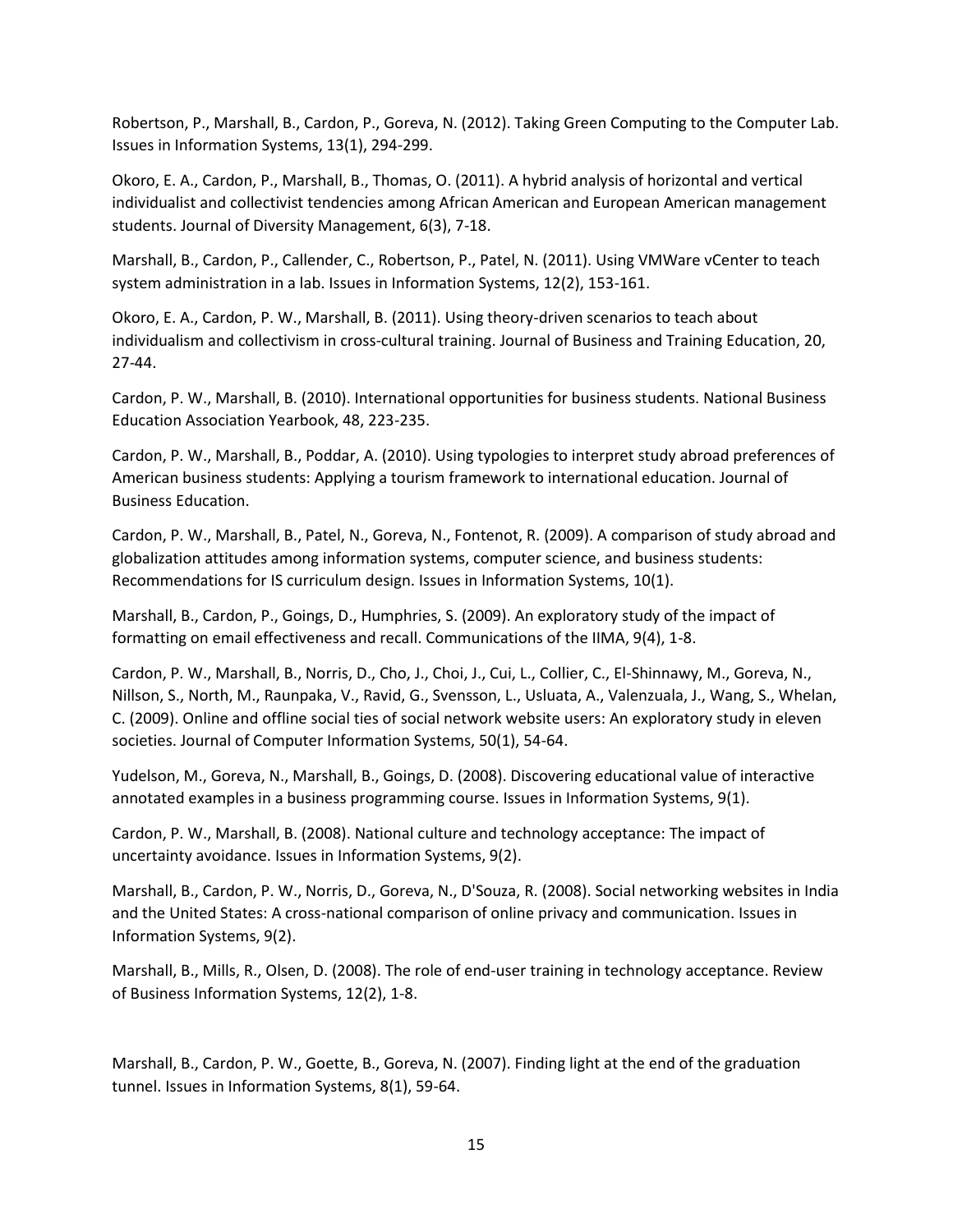Robertson, P., Marshall, B., Cardon, P., Goreva, N. (2012). Taking Green Computing to the Computer Lab. Issues in Information Systems, 13(1), 294-299.

Okoro, E. A., Cardon, P., Marshall, B., Thomas, O. (2011). A hybrid analysis of horizontal and vertical individualist and collectivist tendencies among African American and European American management students. Journal of Diversity Management, 6(3), 7-18.

Marshall, B., Cardon, P., Callender, C., Robertson, P., Patel, N. (2011). Using VMWare vCenter to teach system administration in a lab. Issues in Information Systems, 12(2), 153-161.

Okoro, E. A., Cardon, P. W., Marshall, B. (2011). Using theory-driven scenarios to teach about individualism and collectivism in cross-cultural training. Journal of Business and Training Education, 20, 27-44.

Cardon, P. W., Marshall, B. (2010). International opportunities for business students. National Business Education Association Yearbook, 48, 223-235.

Cardon, P. W., Marshall, B., Poddar, A. (2010). Using typologies to interpret study abroad preferences of American business students: Applying a tourism framework to international education. Journal of Business Education.

Cardon, P. W., Marshall, B., Patel, N., Goreva, N., Fontenot, R. (2009). A comparison of study abroad and globalization attitudes among information systems, computer science, and business students: Recommendations for IS curriculum design. Issues in Information Systems, 10(1).

Marshall, B., Cardon, P., Goings, D., Humphries, S. (2009). An exploratory study of the impact of formatting on email effectiveness and recall. Communications of the IIMA, 9(4), 1-8.

Cardon, P. W., Marshall, B., Norris, D., Cho, J., Choi, J., Cui, L., Collier, C., El-Shinnawy, M., Goreva, N., Nillson, S., North, M., Raunpaka, V., Ravid, G., Svensson, L., Usluata, A., Valenzuala, J., Wang, S., Whelan, C. (2009). Online and offline social ties of social network website users: An exploratory study in eleven societies. Journal of Computer Information Systems, 50(1), 54-64.

Yudelson, M., Goreva, N., Marshall, B., Goings, D. (2008). Discovering educational value of interactive annotated examples in a business programming course. Issues in Information Systems, 9(1).

Cardon, P. W., Marshall, B. (2008). National culture and technology acceptance: The impact of uncertainty avoidance. Issues in Information Systems, 9(2).

Marshall, B., Cardon, P. W., Norris, D., Goreva, N., D'Souza, R. (2008). Social networking websites in India and the United States: A cross-national comparison of online privacy and communication. Issues in Information Systems, 9(2).

Marshall, B., Mills, R., Olsen, D. (2008). The role of end-user training in technology acceptance. Review of Business Information Systems, 12(2), 1-8.

Marshall, B., Cardon, P. W., Goette, B., Goreva, N. (2007). Finding light at the end of the graduation tunnel. Issues in Information Systems, 8(1), 59-64.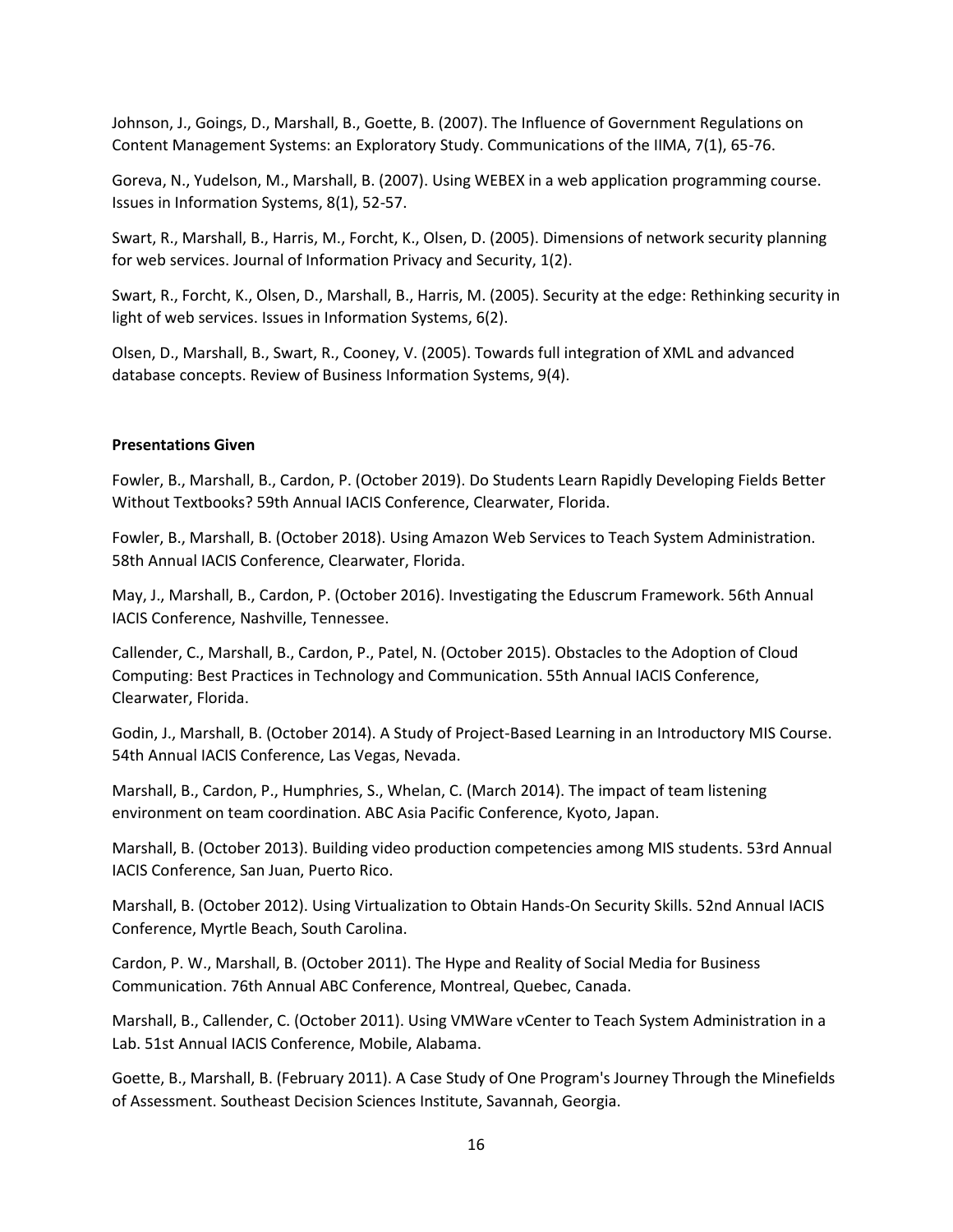Johnson, J., Goings, D., Marshall, B., Goette, B. (2007). The Influence of Government Regulations on Content Management Systems: an Exploratory Study. Communications of the IIMA, 7(1), 65-76.

Goreva, N., Yudelson, M., Marshall, B. (2007). Using WEBEX in a web application programming course. Issues in Information Systems, 8(1), 52-57.

Swart, R., Marshall, B., Harris, M., Forcht, K., Olsen, D. (2005). Dimensions of network security planning for web services. Journal of Information Privacy and Security, 1(2).

Swart, R., Forcht, K., Olsen, D., Marshall, B., Harris, M. (2005). Security at the edge: Rethinking security in light of web services. Issues in Information Systems, 6(2).

Olsen, D., Marshall, B., Swart, R., Cooney, V. (2005). Towards full integration of XML and advanced database concepts. Review of Business Information Systems, 9(4).

#### **Presentations Given**

Fowler, B., Marshall, B., Cardon, P. (October 2019). Do Students Learn Rapidly Developing Fields Better Without Textbooks? 59th Annual IACIS Conference, Clearwater, Florida.

Fowler, B., Marshall, B. (October 2018). Using Amazon Web Services to Teach System Administration. 58th Annual IACIS Conference, Clearwater, Florida.

May, J., Marshall, B., Cardon, P. (October 2016). Investigating the Eduscrum Framework. 56th Annual IACIS Conference, Nashville, Tennessee.

Callender, C., Marshall, B., Cardon, P., Patel, N. (October 2015). Obstacles to the Adoption of Cloud Computing: Best Practices in Technology and Communication. 55th Annual IACIS Conference, Clearwater, Florida.

Godin, J., Marshall, B. (October 2014). A Study of Project-Based Learning in an Introductory MIS Course. 54th Annual IACIS Conference, Las Vegas, Nevada.

Marshall, B., Cardon, P., Humphries, S., Whelan, C. (March 2014). The impact of team listening environment on team coordination. ABC Asia Pacific Conference, Kyoto, Japan.

Marshall, B. (October 2013). Building video production competencies among MIS students. 53rd Annual IACIS Conference, San Juan, Puerto Rico.

Marshall, B. (October 2012). Using Virtualization to Obtain Hands-On Security Skills. 52nd Annual IACIS Conference, Myrtle Beach, South Carolina.

Cardon, P. W., Marshall, B. (October 2011). The Hype and Reality of Social Media for Business Communication. 76th Annual ABC Conference, Montreal, Quebec, Canada.

Marshall, B., Callender, C. (October 2011). Using VMWare vCenter to Teach System Administration in a Lab. 51st Annual IACIS Conference, Mobile, Alabama.

Goette, B., Marshall, B. (February 2011). A Case Study of One Program's Journey Through the Minefields of Assessment. Southeast Decision Sciences Institute, Savannah, Georgia.